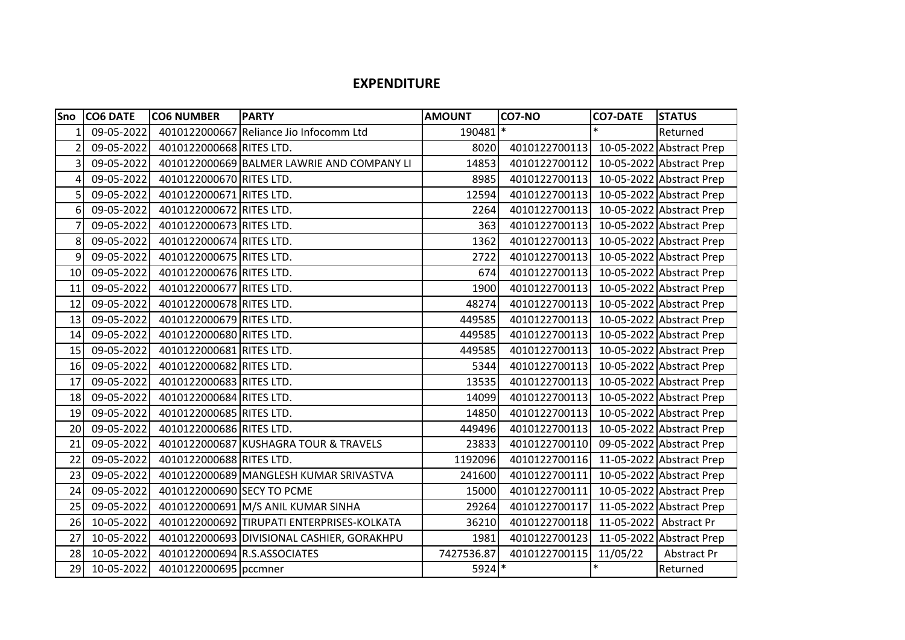## **EXPENDITURE**

| Sno | <b>CO6 DATE</b> | <b>CO6 NUMBER</b>            | <b>PARTY</b>                               | <b>AMOUNT</b> | <b>CO7-NO</b> | <b>CO7-DATE</b> | <b>STATUS</b>            |
|-----|-----------------|------------------------------|--------------------------------------------|---------------|---------------|-----------------|--------------------------|
|     | 09-05-2022      |                              | 4010122000667 Reliance Jio Infocomm Ltd    | 190481        | $\ast$        | $\ast$          | Returned                 |
| 2   | 09-05-2022      | 4010122000668 RITES LTD.     |                                            | 8020          | 4010122700113 |                 | 10-05-2022 Abstract Prep |
| 3   | 09-05-2022      |                              | 4010122000669 BALMER LAWRIE AND COMPANY LI | 14853         | 4010122700112 |                 | 10-05-2022 Abstract Prep |
| 4   | 09-05-2022      | 4010122000670 RITES LTD.     |                                            | 8985          | 4010122700113 |                 | 10-05-2022 Abstract Prep |
| 5   | 09-05-2022      | 4010122000671 RITES LTD.     |                                            | 12594         | 4010122700113 |                 | 10-05-2022 Abstract Prep |
| 6   | 09-05-2022      | 4010122000672 RITES LTD.     |                                            | 2264          | 4010122700113 |                 | 10-05-2022 Abstract Prep |
|     | 09-05-2022      | 4010122000673 RITES LTD.     |                                            | 363           | 4010122700113 |                 | 10-05-2022 Abstract Prep |
| 8   | 09-05-2022      | 4010122000674 RITES LTD.     |                                            | 1362          | 4010122700113 |                 | 10-05-2022 Abstract Prep |
| 9   | 09-05-2022      | 4010122000675 RITES LTD.     |                                            | 2722          | 4010122700113 |                 | 10-05-2022 Abstract Prep |
| 10  | 09-05-2022      | 4010122000676 RITES LTD.     |                                            | 674           | 4010122700113 |                 | 10-05-2022 Abstract Prep |
| 11  | 09-05-2022      | 4010122000677 RITES LTD.     |                                            | 1900          | 4010122700113 |                 | 10-05-2022 Abstract Prep |
| 12  | 09-05-2022      | 4010122000678 RITES LTD.     |                                            | 48274         | 4010122700113 |                 | 10-05-2022 Abstract Prep |
| 13  | 09-05-2022      | 4010122000679 RITES LTD.     |                                            | 449585        | 4010122700113 |                 | 10-05-2022 Abstract Prep |
| 14  | 09-05-2022      | 4010122000680 RITES LTD.     |                                            | 449585        | 4010122700113 |                 | 10-05-2022 Abstract Prep |
| 15  | 09-05-2022      | 4010122000681 RITES LTD.     |                                            | 449585        | 4010122700113 |                 | 10-05-2022 Abstract Prep |
| 16  | 09-05-2022      | 4010122000682 RITES LTD.     |                                            | 5344          | 4010122700113 |                 | 10-05-2022 Abstract Prep |
| 17  | 09-05-2022      | 4010122000683 RITES LTD.     |                                            | 13535         | 4010122700113 |                 | 10-05-2022 Abstract Prep |
| 18  | 09-05-2022      | 4010122000684 RITES LTD.     |                                            | 14099         | 4010122700113 |                 | 10-05-2022 Abstract Prep |
| 19  | 09-05-2022      | 4010122000685 RITES LTD.     |                                            | 14850         | 4010122700113 |                 | 10-05-2022 Abstract Prep |
| 20  | 09-05-2022      | 4010122000686 RITES LTD.     |                                            | 449496        | 4010122700113 |                 | 10-05-2022 Abstract Prep |
| 21  | 09-05-2022      |                              | 4010122000687 KUSHAGRA TOUR & TRAVELS      | 23833         | 4010122700110 |                 | 09-05-2022 Abstract Prep |
| 22  | 09-05-2022      | 4010122000688 RITES LTD.     |                                            | 1192096       | 4010122700116 |                 | 11-05-2022 Abstract Prep |
| 23  | 09-05-2022      |                              | 4010122000689 MANGLESH KUMAR SRIVASTVA     | 241600        | 4010122700111 |                 | 10-05-2022 Abstract Prep |
| 24  | 09-05-2022      | 4010122000690 SECY TO PCME   |                                            | 15000         | 4010122700111 |                 | 10-05-2022 Abstract Prep |
| 25  | 09-05-2022      |                              | 4010122000691 M/S ANIL KUMAR SINHA         | 29264         | 4010122700117 |                 | 11-05-2022 Abstract Prep |
| 26  | 10-05-2022      |                              | 4010122000692 TIRUPATI ENTERPRISES-KOLKATA | 36210         | 4010122700118 |                 | 11-05-2022 Abstract Pr   |
| 27  | 10-05-2022      |                              | 4010122000693 DIVISIONAL CASHIER, GORAKHPU | 1981          | 4010122700123 |                 | 11-05-2022 Abstract Prep |
| 28  | 10-05-2022      | 4010122000694 R.S.ASSOCIATES |                                            | 7427536.87    | 4010122700115 | 11/05/22        | Abstract Pr              |
| 29  | 10-05-2022      | 4010122000695 pccmner        |                                            | 5924 *        |               | $\ast$          | Returned                 |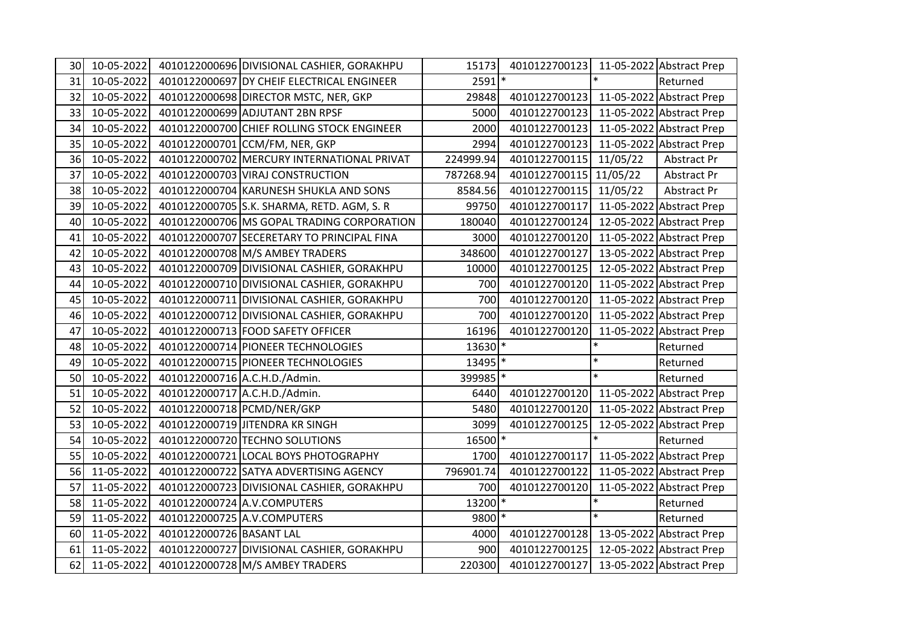| 30 | 10-05-2022 |                               | 4010122000696 DIVISIONAL CASHIER, GORAKHPU | 15173                | 4010122700123 11-05-2022 Abstract Prep |          |                          |
|----|------------|-------------------------------|--------------------------------------------|----------------------|----------------------------------------|----------|--------------------------|
| 31 | 10-05-2022 |                               | 4010122000697 DY CHEIF ELECTRICAL ENGINEER | $2591*$              |                                        |          | Returned                 |
| 32 | 10-05-2022 |                               | 4010122000698 DIRECTOR MSTC, NER, GKP      | 29848                | 4010122700123                          |          | 11-05-2022 Abstract Prep |
| 33 | 10-05-2022 |                               | 4010122000699 ADJUTANT 2BN RPSF            | 5000                 | 4010122700123                          |          | 11-05-2022 Abstract Prep |
| 34 | 10-05-2022 |                               | 4010122000700 CHIEF ROLLING STOCK ENGINEER | 2000                 | 4010122700123                          |          | 11-05-2022 Abstract Prep |
| 35 | 10-05-2022 |                               | 4010122000701 CCM/FM, NER, GKP             | 2994                 | 4010122700123                          |          | 11-05-2022 Abstract Prep |
| 36 | 10-05-2022 |                               | 4010122000702 MERCURY INTERNATIONAL PRIVAT | 224999.94            | 4010122700115                          | 11/05/22 | Abstract Pr              |
| 37 | 10-05-2022 |                               | 4010122000703 VIRAJ CONSTRUCTION           | 787268.94            | 4010122700115 11/05/22                 |          | Abstract Pr              |
| 38 | 10-05-2022 |                               | 4010122000704 KARUNESH SHUKLA AND SONS     | 8584.56              | 4010122700115                          | 11/05/22 | Abstract Pr              |
| 39 | 10-05-2022 |                               | 4010122000705 S.K. SHARMA, RETD. AGM, S. R | 99750                | 4010122700117                          |          | 11-05-2022 Abstract Prep |
| 40 | 10-05-2022 |                               | 4010122000706 MS GOPAL TRADING CORPORATION | 180040               | 4010122700124                          |          | 12-05-2022 Abstract Prep |
| 41 | 10-05-2022 |                               | 4010122000707 SECERETARY TO PRINCIPAL FINA | 3000                 | 4010122700120                          |          | 11-05-2022 Abstract Prep |
| 42 | 10-05-2022 |                               | 4010122000708 M/S AMBEY TRADERS            | 348600               | 4010122700127                          |          | 13-05-2022 Abstract Prep |
| 43 | 10-05-2022 |                               | 4010122000709 DIVISIONAL CASHIER, GORAKHPU | 10000                | 4010122700125                          |          | 12-05-2022 Abstract Prep |
| 44 | 10-05-2022 |                               | 4010122000710 DIVISIONAL CASHIER, GORAKHPU | 700                  | 4010122700120                          |          | 11-05-2022 Abstract Prep |
| 45 | 10-05-2022 |                               | 4010122000711 DIVISIONAL CASHIER, GORAKHPU | 700                  | 4010122700120                          |          | 11-05-2022 Abstract Prep |
| 46 | 10-05-2022 |                               | 4010122000712 DIVISIONAL CASHIER, GORAKHPU | 700                  | 4010122700120                          |          | 11-05-2022 Abstract Prep |
| 47 | 10-05-2022 |                               | 4010122000713 FOOD SAFETY OFFICER          | 16196                | 4010122700120                          |          | 11-05-2022 Abstract Prep |
| 48 | 10-05-2022 |                               | 4010122000714 PIONEER TECHNOLOGIES         | $13630$ <sup>*</sup> |                                        | $\ast$   | Returned                 |
| 49 | 10-05-2022 |                               | 4010122000715 PIONEER TECHNOLOGIES         | 13495 *              |                                        | $\ast$   | Returned                 |
| 50 | 10-05-2022 |                               | 4010122000716 A.C.H.D./Admin.              | 399985 *             |                                        | $\ast$   | Returned                 |
| 51 | 10-05-2022 | 4010122000717 A.C.H.D./Admin. |                                            | 6440                 | 4010122700120 11-05-2022 Abstract Prep |          |                          |
| 52 | 10-05-2022 | 4010122000718 PCMD/NER/GKP    |                                            | 5480                 | 4010122700120                          |          | 11-05-2022 Abstract Prep |
| 53 | 10-05-2022 |                               | 4010122000719 JITENDRA KR SINGH            | 3099                 | 4010122700125                          |          | 12-05-2022 Abstract Prep |
| 54 | 10-05-2022 |                               | 4010122000720 TECHNO SOLUTIONS             | 16500 *              |                                        |          | Returned                 |
| 55 | 10-05-2022 |                               | 4010122000721 LOCAL BOYS PHOTOGRAPHY       | 1700                 | 4010122700117 11-05-2022 Abstract Prep |          |                          |
| 56 | 11-05-2022 |                               | 4010122000722 SATYA ADVERTISING AGENCY     | 796901.74            | 4010122700122                          |          | 11-05-2022 Abstract Prep |
| 57 | 11-05-2022 |                               | 4010122000723 DIVISIONAL CASHIER, GORAKHPU | 700                  | 4010122700120                          |          | 11-05-2022 Abstract Prep |
| 58 | 11-05-2022 |                               | 4010122000724 A.V.COMPUTERS                | $13200$ <sup>*</sup> |                                        | $\ast$   | Returned                 |
| 59 | 11-05-2022 |                               | 4010122000725 A.V.COMPUTERS                | 9800 *               |                                        | $\ast$   | Returned                 |
| 60 | 11-05-2022 | 4010122000726 BASANT LAL      |                                            | 4000                 | 4010122700128                          |          | 13-05-2022 Abstract Prep |
| 61 | 11-05-2022 |                               | 4010122000727 DIVISIONAL CASHIER, GORAKHPU | 900                  | 4010122700125                          |          | 12-05-2022 Abstract Prep |
| 62 | 11-05-2022 |                               | 4010122000728 M/S AMBEY TRADERS            | 220300               | 4010122700127                          |          | 13-05-2022 Abstract Prep |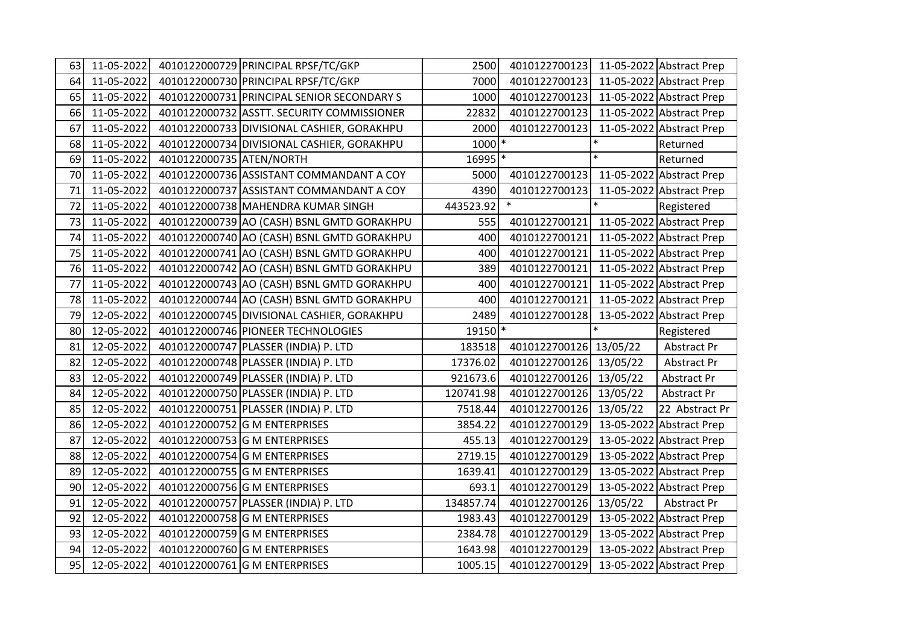| 63 | 11-05-2022 |                          | 4010122000729 PRINCIPAL RPSF/TC/GKP        | 2500                 | 4010122700123                          |          | 11-05-2022 Abstract Prep |
|----|------------|--------------------------|--------------------------------------------|----------------------|----------------------------------------|----------|--------------------------|
| 64 | 11-05-2022 |                          | 4010122000730 PRINCIPAL RPSF/TC/GKP        | 7000                 | 4010122700123                          |          | 11-05-2022 Abstract Prep |
| 65 | 11-05-2022 |                          | 4010122000731 PRINCIPAL SENIOR SECONDARY S | 1000                 | 4010122700123                          |          | 11-05-2022 Abstract Prep |
| 66 | 11-05-2022 |                          | 4010122000732 ASSTT. SECURITY COMMISSIONER | 22832                | 4010122700123                          |          | 11-05-2022 Abstract Prep |
| 67 | 11-05-2022 |                          | 4010122000733 DIVISIONAL CASHIER, GORAKHPU | 2000                 | 4010122700123                          |          | 11-05-2022 Abstract Prep |
| 68 | 11-05-2022 |                          | 4010122000734 DIVISIONAL CASHIER, GORAKHPU | $1000$ *             |                                        | $\ast$   | Returned                 |
| 69 | 11-05-2022 | 4010122000735 ATEN/NORTH |                                            | $16995$ <sup>*</sup> |                                        | $\ast$   | Returned                 |
| 70 | 11-05-2022 |                          | 4010122000736 ASSISTANT COMMANDANT A COY   | 5000                 | 4010122700123 11-05-2022 Abstract Prep |          |                          |
| 71 | 11-05-2022 |                          | 4010122000737 ASSISTANT COMMANDANT A COY   | 4390                 | 4010122700123                          |          | 11-05-2022 Abstract Prep |
| 72 | 11-05-2022 |                          | 4010122000738 MAHENDRA KUMAR SINGH         | 443523.92            | $\ast$                                 | $\ast$   | Registered               |
| 73 | 11-05-2022 |                          | 4010122000739 AO (CASH) BSNL GMTD GORAKHPU | 555                  | 4010122700121 11-05-2022 Abstract Prep |          |                          |
| 74 | 11-05-2022 |                          | 4010122000740 AO (CASH) BSNL GMTD GORAKHPU | 400                  | 4010122700121                          |          | 11-05-2022 Abstract Prep |
| 75 | 11-05-2022 |                          | 4010122000741 AO (CASH) BSNL GMTD GORAKHPU | 400                  | 4010122700121                          |          | 11-05-2022 Abstract Prep |
| 76 | 11-05-2022 |                          | 4010122000742 AO (CASH) BSNL GMTD GORAKHPU | 389                  | 4010122700121                          |          | 11-05-2022 Abstract Prep |
| 77 | 11-05-2022 |                          | 4010122000743 AO (CASH) BSNL GMTD GORAKHPU | 400                  | 4010122700121                          |          | 11-05-2022 Abstract Prep |
| 78 | 11-05-2022 |                          | 4010122000744 AO (CASH) BSNL GMTD GORAKHPU | 400                  | 4010122700121                          |          | 11-05-2022 Abstract Prep |
| 79 | 12-05-2022 |                          | 4010122000745 DIVISIONAL CASHIER, GORAKHPU | 2489                 | 4010122700128                          |          | 13-05-2022 Abstract Prep |
| 80 | 12-05-2022 |                          | 4010122000746 PIONEER TECHNOLOGIES         | 19150 *              |                                        | $\ast$   | Registered               |
| 81 | 12-05-2022 |                          | 4010122000747 PLASSER (INDIA) P. LTD       | 183518               | 4010122700126 13/05/22                 |          | Abstract Pr              |
| 82 | 12-05-2022 |                          | 4010122000748 PLASSER (INDIA) P. LTD       | 17376.02             | 4010122700126                          | 13/05/22 | Abstract Pr              |
| 83 | 12-05-2022 |                          | 4010122000749 PLASSER (INDIA) P. LTD       | 921673.6             | 4010122700126                          | 13/05/22 | Abstract Pr              |
| 84 | 12-05-2022 |                          | 4010122000750 PLASSER (INDIA) P. LTD       | 120741.98            | 4010122700126                          | 13/05/22 | Abstract Pr              |
| 85 | 12-05-2022 |                          | 4010122000751 PLASSER (INDIA) P. LTD       | 7518.44              | 4010122700126                          | 13/05/22 | 22 Abstract Pr           |
| 86 | 12-05-2022 |                          | 4010122000752 G M ENTERPRISES              | 3854.22              | 4010122700129                          |          | 13-05-2022 Abstract Prep |
| 87 | 12-05-2022 |                          | 4010122000753 G M ENTERPRISES              | 455.13               | 4010122700129                          |          | 13-05-2022 Abstract Prep |
| 88 | 12-05-2022 |                          | 4010122000754 G M ENTERPRISES              | 2719.15              | 4010122700129                          |          | 13-05-2022 Abstract Prep |
| 89 | 12-05-2022 |                          | 4010122000755 G M ENTERPRISES              | 1639.41              | 4010122700129                          |          | 13-05-2022 Abstract Prep |
| 90 | 12-05-2022 |                          | 4010122000756 G M ENTERPRISES              | 693.1                | 4010122700129                          |          | 13-05-2022 Abstract Prep |
| 91 | 12-05-2022 |                          | 4010122000757 PLASSER (INDIA) P. LTD       | 134857.74            | 4010122700126                          | 13/05/22 | Abstract Pr              |
| 92 | 12-05-2022 |                          | 4010122000758 G M ENTERPRISES              | 1983.43              | 4010122700129                          |          | 13-05-2022 Abstract Prep |
| 93 | 12-05-2022 |                          | 4010122000759 G M ENTERPRISES              | 2384.78              | 4010122700129                          |          | 13-05-2022 Abstract Prep |
|    |            |                          |                                            |                      |                                        |          |                          |
| 94 | 12-05-2022 |                          | 4010122000760 G M ENTERPRISES              | 1643.98              | 4010122700129                          |          | 13-05-2022 Abstract Prep |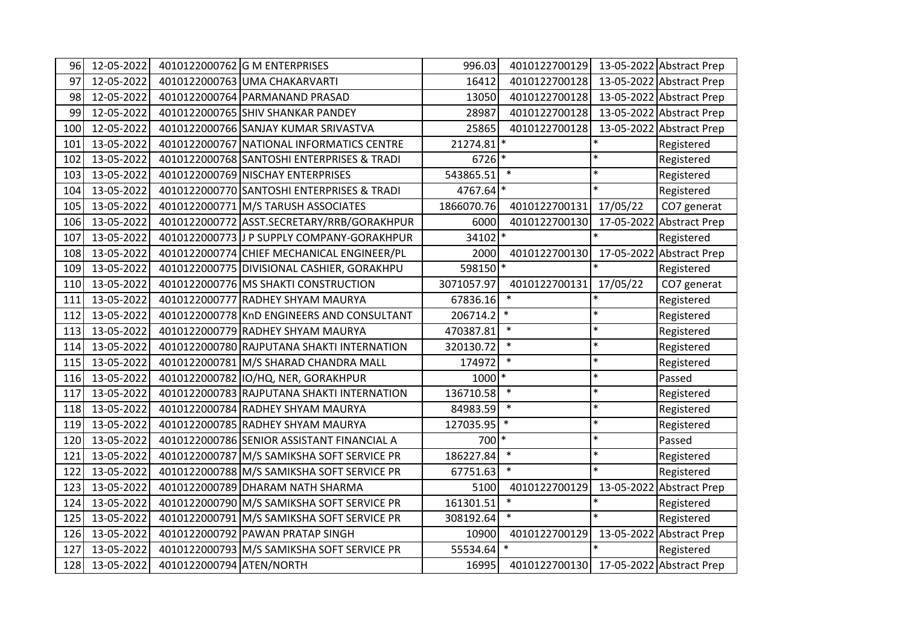| 96  | 12-05-2022 |                          | 4010122000762 G M ENTERPRISES              | 996.03              | 4010122700129 |          | 13-05-2022 Abstract Prep |
|-----|------------|--------------------------|--------------------------------------------|---------------------|---------------|----------|--------------------------|
| 97  | 12-05-2022 |                          | 4010122000763 UMA CHAKARVARTI              | 16412               | 4010122700128 |          | 13-05-2022 Abstract Prep |
| 98  | 12-05-2022 |                          | 4010122000764 PARMANAND PRASAD             | 13050               | 4010122700128 |          | 13-05-2022 Abstract Prep |
| 99  | 12-05-2022 |                          | 4010122000765 SHIV SHANKAR PANDEY          | 28987               | 4010122700128 |          | 13-05-2022 Abstract Prep |
| 100 | 12-05-2022 |                          | 4010122000766 SANJAY KUMAR SRIVASTVA       | 25865               | 4010122700128 |          | 13-05-2022 Abstract Prep |
| 101 | 13-05-2022 |                          | 4010122000767 NATIONAL INFORMATICS CENTRE  | 21274.81            |               | $\ast$   | Registered               |
| 102 | 13-05-2022 |                          | 4010122000768 SANTOSHI ENTERPRISES & TRADI | $6726$ <sup>*</sup> |               | $\ast$   | Registered               |
| 103 | 13-05-2022 |                          | 4010122000769 NISCHAY ENTERPRISES          | 543865.51           | $\ast$        | $\ast$   | Registered               |
| 104 | 13-05-2022 |                          | 4010122000770 SANTOSHI ENTERPRISES & TRADI | 4767.64 *           |               | $\ast$   | Registered               |
| 105 | 13-05-2022 |                          | 4010122000771 M/S TARUSH ASSOCIATES        | 1866070.76          | 4010122700131 | 17/05/22 | CO7 generat              |
| 106 | 13-05-2022 |                          | 4010122000772 ASST.SECRETARY/RRB/GORAKHPUR | 6000                | 4010122700130 |          | 17-05-2022 Abstract Prep |
| 107 | 13-05-2022 |                          | 4010122000773 J P SUPPLY COMPANY-GORAKHPUR | 34102 *             |               | $\ast$   | Registered               |
| 108 | 13-05-2022 |                          | 4010122000774 CHIEF MECHANICAL ENGINEER/PL | 2000                | 4010122700130 |          | 17-05-2022 Abstract Prep |
| 109 | 13-05-2022 |                          | 4010122000775 DIVISIONAL CASHIER, GORAKHPU | 598150 *            |               | $\ast$   | Registered               |
| 110 | 13-05-2022 |                          | 4010122000776 MS SHAKTI CONSTRUCTION       | 3071057.97          | 4010122700131 | 17/05/22 | CO7 generat              |
| 111 | 13-05-2022 |                          | 4010122000777 RADHEY SHYAM MAURYA          | 67836.16            | $\ast$        | $\ast$   | Registered               |
| 112 | 13-05-2022 |                          | 4010122000778 KnD ENGINEERS AND CONSULTANT | $206714.2$ *        |               | $\ast$   | Registered               |
| 113 | 13-05-2022 |                          | 4010122000779 RADHEY SHYAM MAURYA          | 470387.81           | $\ast$        | $\ast$   | Registered               |
| 114 | 13-05-2022 |                          | 4010122000780 RAJPUTANA SHAKTI INTERNATION | 320130.72           | $\ast$        | $\ast$   | Registered               |
| 115 | 13-05-2022 |                          | 4010122000781 M/S SHARAD CHANDRA MALL      | 174972              | $\ast$        | $\ast$   | Registered               |
| 116 | 13-05-2022 |                          | 4010122000782 IO/HQ, NER, GORAKHPUR        | 1000 *              |               | $\ast$   | Passed                   |
| 117 | 13-05-2022 |                          | 4010122000783 RAJPUTANA SHAKTI INTERNATION | 136710.58           | $\ast$        | $\ast$   | Registered               |
| 118 | 13-05-2022 |                          | 4010122000784 RADHEY SHYAM MAURYA          | 84983.59            | $\ast$        | $\ast$   | Registered               |
| 119 | 13-05-2022 |                          | 4010122000785 RADHEY SHYAM MAURYA          | 127035.95           | $\ast$        | $\ast$   | Registered               |
| 120 | 13-05-2022 |                          | 4010122000786 SENIOR ASSISTANT FINANCIAL A | 700 *               |               | $\ast$   | Passed                   |
| 121 | 13-05-2022 |                          | 4010122000787 M/S SAMIKSHA SOFT SERVICE PR | 186227.84           | $\ast$        | $\ast$   | Registered               |
| 122 | 13-05-2022 |                          | 4010122000788 M/S SAMIKSHA SOFT SERVICE PR | 67751.63            | $\ast$        | $\ast$   | Registered               |
| 123 | 13-05-2022 |                          | 4010122000789 DHARAM NATH SHARMA           | 5100                | 4010122700129 |          | 13-05-2022 Abstract Prep |
| 124 | 13-05-2022 |                          | 4010122000790 M/S SAMIKSHA SOFT SERVICE PR | 161301.51           | $\ast$        | $\ast$   | Registered               |
| 125 | 13-05-2022 |                          | 4010122000791 M/S SAMIKSHA SOFT SERVICE PR | 308192.64           | $\ast$        | $\ast$   | Registered               |
| 126 | 13-05-2022 |                          | 4010122000792 PAWAN PRATAP SINGH           | 10900               | 4010122700129 |          | 13-05-2022 Abstract Prep |
| 127 | 13-05-2022 |                          | 4010122000793 M/S SAMIKSHA SOFT SERVICE PR | 55534.64            | $\ast$        |          | Registered               |
| 128 | 13-05-2022 | 4010122000794 ATEN/NORTH |                                            | 16995               | 4010122700130 |          | 17-05-2022 Abstract Prep |